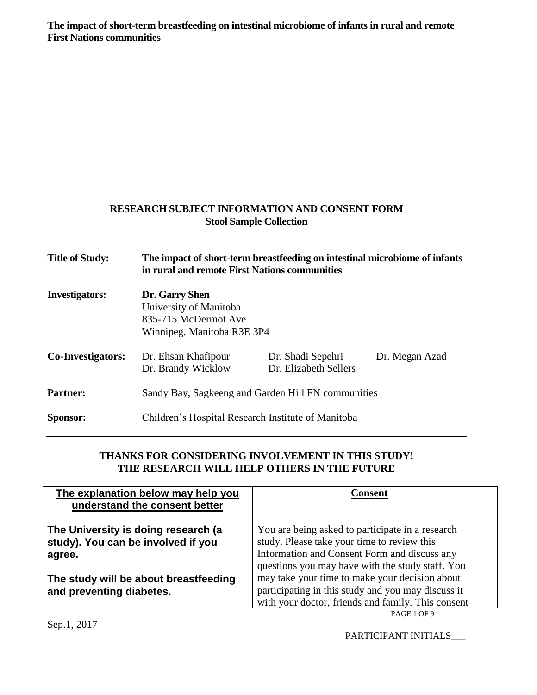**The impact of short-term breastfeeding on intestinal microbiome of infants in rural and remote First Nations communities**

## **RESEARCH SUBJECT INFORMATION AND CONSENT FORM Stool Sample Collection**

| <b>Title of Study:</b>   | The impact of short-term breastfeeding on intestinal microbiome of infants<br>in rural and remote First Nations communities |                                            |                |  |
|--------------------------|-----------------------------------------------------------------------------------------------------------------------------|--------------------------------------------|----------------|--|
| <b>Investigators:</b>    | Dr. Garry Shen<br>University of Manitoba<br>835-715 McDermot Ave<br>Winnipeg, Manitoba R3E 3P4                              |                                            |                |  |
| <b>Co-Investigators:</b> | Dr. Ehsan Khafipour<br>Dr. Brandy Wicklow                                                                                   | Dr. Shadi Sepehri<br>Dr. Elizabeth Sellers | Dr. Megan Azad |  |
| <b>Partner:</b>          | Sandy Bay, Sagkeeng and Garden Hill FN communities                                                                          |                                            |                |  |
| Sponsor:                 | Children's Hospital Research Institute of Manitoba                                                                          |                                            |                |  |

## **THANKS FOR CONSIDERING INVOLVEMENT IN THIS STUDY! THE RESEARCH WILL HELP OTHERS IN THE FUTURE**

| The explanation below may help you<br>understand the consent better                 | Consent                                                                                                                                                                                             |
|-------------------------------------------------------------------------------------|-----------------------------------------------------------------------------------------------------------------------------------------------------------------------------------------------------|
| The University is doing research (a<br>study). You can be involved if you<br>agree. | You are being asked to participate in a research<br>study. Please take your time to review this<br>Information and Consent Form and discuss any<br>questions you may have with the study staff. You |
| The study will be about breastfeeding<br>and preventing diabetes.                   | may take your time to make your decision about<br>participating in this study and you may discuss it<br>with your doctor, friends and family. This consent                                          |

PARTICIPANT INITIALS\_\_\_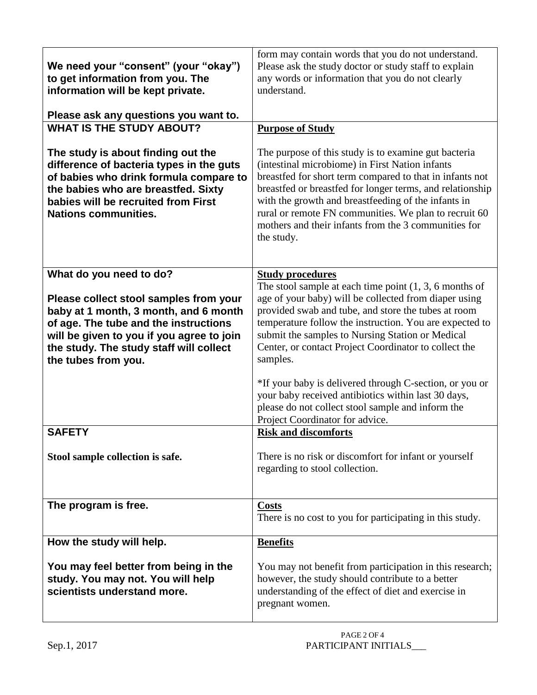| We need your "consent" (your "okay")<br>to get information from you. The<br>information will be kept private.<br>Please ask any questions you want to.                                                                                                             | form may contain words that you do not understand.<br>Please ask the study doctor or study staff to explain<br>any words or information that you do not clearly<br>understand.                                                                                                                                                                                                                                         |
|--------------------------------------------------------------------------------------------------------------------------------------------------------------------------------------------------------------------------------------------------------------------|------------------------------------------------------------------------------------------------------------------------------------------------------------------------------------------------------------------------------------------------------------------------------------------------------------------------------------------------------------------------------------------------------------------------|
| <b>WHAT IS THE STUDY ABOUT?</b>                                                                                                                                                                                                                                    | <b>Purpose of Study</b>                                                                                                                                                                                                                                                                                                                                                                                                |
| The study is about finding out the<br>difference of bacteria types in the guts<br>of babies who drink formula compare to<br>the babies who are breastfed. Sixty<br>babies will be recruited from First<br><b>Nations communities.</b>                              | The purpose of this study is to examine gut bacteria<br>(intestinal microbiome) in First Nation infants<br>breastfed for short term compared to that in infants not<br>breastfed or breastfed for longer terms, and relationship<br>with the growth and breastfeeding of the infants in<br>rural or remote FN communities. We plan to recruit 60<br>mothers and their infants from the 3 communities for<br>the study. |
| What do you need to do?<br>Please collect stool samples from your<br>baby at 1 month, 3 month, and 6 month<br>of age. The tube and the instructions<br>will be given to you if you agree to join<br>the study. The study staff will collect<br>the tubes from you. | <b>Study procedures</b><br>The stool sample at each time point $(1, 3, 6 \text{ months of})$<br>age of your baby) will be collected from diaper using<br>provided swab and tube, and store the tubes at room<br>temperature follow the instruction. You are expected to<br>submit the samples to Nursing Station or Medical<br>Center, or contact Project Coordinator to collect the<br>samples.                       |
|                                                                                                                                                                                                                                                                    | *If your baby is delivered through C-section, or you or<br>your baby received antibiotics within last 30 days,<br>please do not collect stool sample and inform the<br>Project Coordinator for advice.                                                                                                                                                                                                                 |
| <b>SAFETY</b>                                                                                                                                                                                                                                                      | <b>Risk and discomforts</b>                                                                                                                                                                                                                                                                                                                                                                                            |
| Stool sample collection is safe.                                                                                                                                                                                                                                   | There is no risk or discomfort for infant or yourself<br>regarding to stool collection.                                                                                                                                                                                                                                                                                                                                |
| The program is free.                                                                                                                                                                                                                                               | <b>Costs</b><br>There is no cost to you for participating in this study.                                                                                                                                                                                                                                                                                                                                               |
| How the study will help.                                                                                                                                                                                                                                           | <b>Benefits</b>                                                                                                                                                                                                                                                                                                                                                                                                        |
| You may feel better from being in the<br>study. You may not. You will help<br>scientists understand more.                                                                                                                                                          | You may not benefit from participation in this research;<br>however, the study should contribute to a better<br>understanding of the effect of diet and exercise in<br>pregnant women.                                                                                                                                                                                                                                 |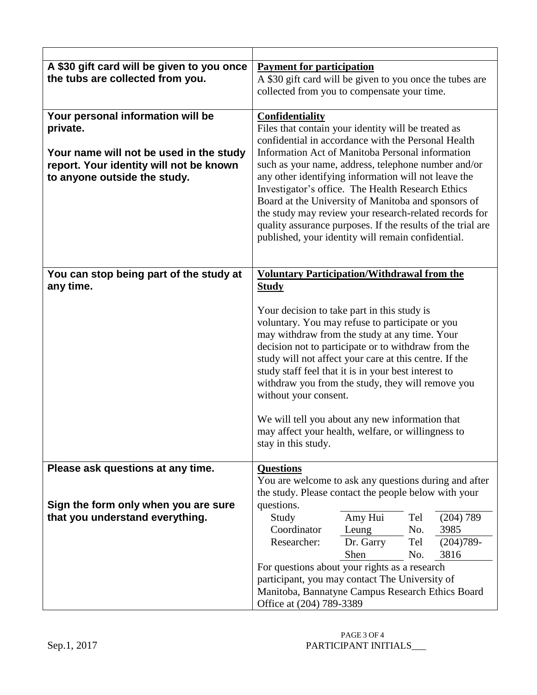| A \$30 gift card will be given to you once | <b>Payment for participation</b>                                                                              |  |  |
|--------------------------------------------|---------------------------------------------------------------------------------------------------------------|--|--|
| the tubs are collected from you.           | A \$30 gift card will be given to you once the tubes are                                                      |  |  |
|                                            | collected from you to compensate your time.                                                                   |  |  |
| Your personal information will be          | <b>Confidentiality</b>                                                                                        |  |  |
| private.                                   | Files that contain your identity will be treated as                                                           |  |  |
|                                            | confidential in accordance with the Personal Health                                                           |  |  |
| Your name will not be used in the study    | Information Act of Manitoba Personal information                                                              |  |  |
| report. Your identity will not be known    | such as your name, address, telephone number and/or                                                           |  |  |
| to anyone outside the study.               | any other identifying information will not leave the<br>Investigator's office. The Health Research Ethics     |  |  |
|                                            | Board at the University of Manitoba and sponsors of                                                           |  |  |
|                                            | the study may review your research-related records for                                                        |  |  |
|                                            | quality assurance purposes. If the results of the trial are                                                   |  |  |
|                                            | published, your identity will remain confidential.                                                            |  |  |
|                                            |                                                                                                               |  |  |
| You can stop being part of the study at    | <b>Voluntary Participation/Withdrawal from the</b>                                                            |  |  |
| any time.                                  | <b>Study</b>                                                                                                  |  |  |
|                                            |                                                                                                               |  |  |
|                                            | Your decision to take part in this study is                                                                   |  |  |
|                                            | voluntary. You may refuse to participate or you                                                               |  |  |
|                                            | may withdraw from the study at any time. Your                                                                 |  |  |
|                                            | decision not to participate or to withdraw from the<br>study will not affect your care at this centre. If the |  |  |
|                                            | study staff feel that it is in your best interest to                                                          |  |  |
|                                            | withdraw you from the study, they will remove you                                                             |  |  |
|                                            | without your consent.                                                                                         |  |  |
|                                            |                                                                                                               |  |  |
|                                            | We will tell you about any new information that<br>may affect your health, welfare, or willingness to         |  |  |
|                                            | stay in this study.                                                                                           |  |  |
|                                            |                                                                                                               |  |  |
| Please ask questions at any time.          | <b>Questions</b>                                                                                              |  |  |
|                                            | You are welcome to ask any questions during and after<br>the study. Please contact the people below with your |  |  |
| Sign the form only when you are sure       | questions.                                                                                                    |  |  |
| that you understand everything.            | Amy Hui<br>Tel<br>Study<br>(204) 789                                                                          |  |  |
|                                            | Coordinator<br>3985<br>Leung<br>No.                                                                           |  |  |
|                                            | Researcher:<br>Dr. Garry<br>$(204)789-$<br>Tel                                                                |  |  |
|                                            | Shen<br>No.<br>3816                                                                                           |  |  |
|                                            | For questions about your rights as a research                                                                 |  |  |
|                                            | participant, you may contact The University of<br>Manitoba, Bannatyne Campus Research Ethics Board            |  |  |
|                                            | Office at (204) 789-3389                                                                                      |  |  |